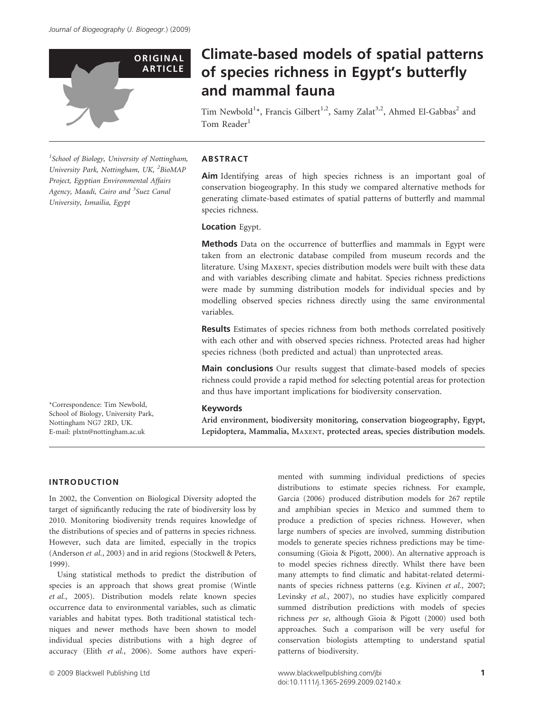

# Climate-based models of spatial patterns of species richness in Egypt's butterfly and mammal fauna

Tim Newbold<sup>1</sup>\*, Francis Gilbert<sup>1,2</sup>, Samy Zalat<sup>3,2</sup>, Ahmed El-Gabbas<sup>2</sup> and Tom Reader<sup>1</sup>

<sup>1</sup>School of Biology, University of Nottingham, University Park, Nottingham, UK, <sup>2</sup>BioMAP Project, Egyptian Environmental Affairs Agency, Maadi, Cairo and <sup>3</sup>Suez Canal University, Ismailia, Egypt

## ABSTRACT

Aim Identifying areas of high species richness is an important goal of conservation biogeography. In this study we compared alternative methods for generating climate-based estimates of spatial patterns of butterfly and mammal species richness.

## Location Egypt.

Methods Data on the occurrence of butterflies and mammals in Egypt were taken from an electronic database compiled from museum records and the literature. Using MAXENT, species distribution models were built with these data and with variables describing climate and habitat. Species richness predictions were made by summing distribution models for individual species and by modelling observed species richness directly using the same environmental variables.

Results Estimates of species richness from both methods correlated positively with each other and with observed species richness. Protected areas had higher species richness (both predicted and actual) than unprotected areas.

Main conclusions Our results suggest that climate-based models of species richness could provide a rapid method for selecting potential areas for protection and thus have important implications for biodiversity conservation.

#### Keywords

Arid environment, biodiversity monitoring, conservation biogeography, Egypt, Lepidoptera, Mammalia, MAXENT, protected areas, species distribution models.

#### INTRODUCTION

\*Correspondence: Tim Newbold, School of Biology, University Park, Nottingham NG7 2RD, UK. E-mail: plxtn@nottingham.ac.uk

In 2002, the Convention on Biological Diversity adopted the target of significantly reducing the rate of biodiversity loss by 2010. Monitoring biodiversity trends requires knowledge of the distributions of species and of patterns in species richness. However, such data are limited, especially in the tropics (Anderson et al., 2003) and in arid regions (Stockwell & Peters, 1999).

Using statistical methods to predict the distribution of species is an approach that shows great promise (Wintle et al., 2005). Distribution models relate known species occurrence data to environmental variables, such as climatic variables and habitat types. Both traditional statistical techniques and newer methods have been shown to model individual species distributions with a high degree of accuracy (Elith et al., 2006). Some authors have experi-

mented with summing individual predictions of species distributions to estimate species richness. For example, Garcia (2006) produced distribution models for 267 reptile and amphibian species in Mexico and summed them to produce a prediction of species richness. However, when large numbers of species are involved, summing distribution models to generate species richness predictions may be timeconsuming (Gioia & Pigott, 2000). An alternative approach is to model species richness directly. Whilst there have been many attempts to find climatic and habitat-related determinants of species richness patterns (e.g. Kivinen et al., 2007; Levinsky et al., 2007), no studies have explicitly compared summed distribution predictions with models of species richness per se, although Gioia & Pigott (2000) used both approaches. Such a comparison will be very useful for conservation biologists attempting to understand spatial patterns of biodiversity.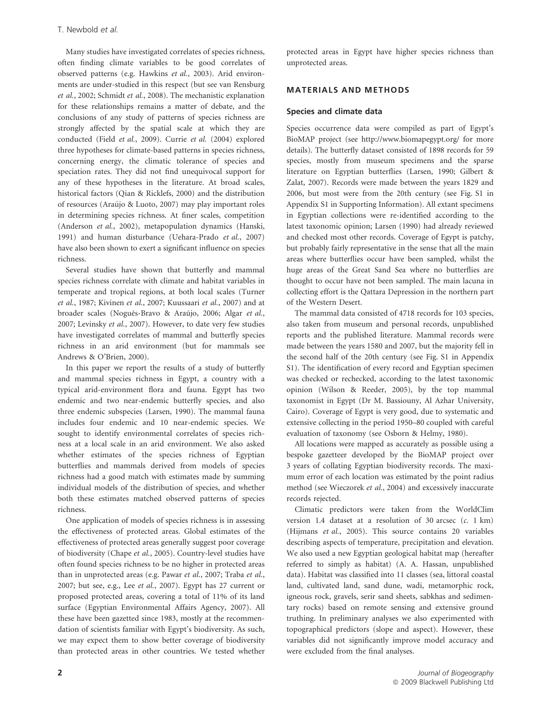Many studies have investigated correlates of species richness, often finding climate variables to be good correlates of observed patterns (e.g. Hawkins et al., 2003). Arid environments are under-studied in this respect (but see van Rensburg et al., 2002; Schmidt et al., 2008). The mechanistic explanation for these relationships remains a matter of debate, and the conclusions of any study of patterns of species richness are strongly affected by the spatial scale at which they are conducted (Field et al., 2009). Currie et al. (2004) explored three hypotheses for climate-based patterns in species richness, concerning energy, the climatic tolerance of species and speciation rates. They did not find unequivocal support for any of these hypotheses in the literature. At broad scales, historical factors (Qian & Ricklefs, 2000) and the distribution of resources (Arau´jo & Luoto, 2007) may play important roles in determining species richness. At finer scales, competition (Anderson et al., 2002), metapopulation dynamics (Hanski, 1991) and human disturbance (Uehara-Prado et al., 2007) have also been shown to exert a significant influence on species richness.

Several studies have shown that butterfly and mammal species richness correlate with climate and habitat variables in temperate and tropical regions, at both local scales (Turner et al., 1987; Kivinen et al., 2007; Kuussaari et al., 2007) and at broader scales (Nogués-Bravo & Araújo, 2006; Algar et al., 2007; Levinsky et al., 2007). However, to date very few studies have investigated correlates of mammal and butterfly species richness in an arid environment (but for mammals see Andrews & O'Brien, 2000).

In this paper we report the results of a study of butterfly and mammal species richness in Egypt, a country with a typical arid-environment flora and fauna. Egypt has two endemic and two near-endemic butterfly species, and also three endemic subspecies (Larsen, 1990). The mammal fauna includes four endemic and 10 near-endemic species. We sought to identify environmental correlates of species richness at a local scale in an arid environment. We also asked whether estimates of the species richness of Egyptian butterflies and mammals derived from models of species richness had a good match with estimates made by summing individual models of the distribution of species, and whether both these estimates matched observed patterns of species richness.

One application of models of species richness is in assessing the effectiveness of protected areas. Global estimates of the effectiveness of protected areas generally suggest poor coverage of biodiversity (Chape et al., 2005). Country-level studies have often found species richness to be no higher in protected areas than in unprotected areas (e.g. Pawar et al., 2007; Traba et al., 2007; but see, e.g., Lee et al., 2007). Egypt has 27 current or proposed protected areas, covering a total of 11% of its land surface (Egyptian Environmental Affairs Agency, 2007). All these have been gazetted since 1983, mostly at the recommendation of scientists familiar with Egypt's biodiversity. As such, we may expect them to show better coverage of biodiversity than protected areas in other countries. We tested whether protected areas in Egypt have higher species richness than unprotected areas.

# MATERIALS AND METHODS

# Species and climate data

Species occurrence data were compiled as part of Egypt's BioMAP project (see http://www.biomapegypt.org/ for more details). The butterfly dataset consisted of 1898 records for 59 species, mostly from museum specimens and the sparse literature on Egyptian butterflies (Larsen, 1990; Gilbert & Zalat, 2007). Records were made between the years 1829 and 2006, but most were from the 20th century (see Fig. S1 in Appendix S1 in Supporting Information). All extant specimens in Egyptian collections were re-identified according to the latest taxonomic opinion; Larsen (1990) had already reviewed and checked most other records. Coverage of Egypt is patchy, but probably fairly representative in the sense that all the main areas where butterflies occur have been sampled, whilst the huge areas of the Great Sand Sea where no butterflies are thought to occur have not been sampled. The main lacuna in collecting effort is the Qattara Depression in the northern part of the Western Desert.

The mammal data consisted of 4718 records for 103 species, also taken from museum and personal records, unpublished reports and the published literature. Mammal records were made between the years 1580 and 2007, but the majority fell in the second half of the 20th century (see Fig. S1 in Appendix S1). The identification of every record and Egyptian specimen was checked or rechecked, according to the latest taxonomic opinion (Wilson & Reeder, 2005), by the top mammal taxonomist in Egypt (Dr M. Bassiouny, Al Azhar University, Cairo). Coverage of Egypt is very good, due to systematic and extensive collecting in the period 1950–80 coupled with careful evaluation of taxonomy (see Osborn & Helmy, 1980).

All locations were mapped as accurately as possible using a bespoke gazetteer developed by the BioMAP project over 3 years of collating Egyptian biodiversity records. The maximum error of each location was estimated by the point radius method (see Wieczorek et al., 2004) and excessively inaccurate records rejected.

Climatic predictors were taken from the WorldClim version 1.4 dataset at a resolution of 30 arcsec (c. 1 km) (Hijmans et al., 2005). This source contains 20 variables describing aspects of temperature, precipitation and elevation. We also used a new Egyptian geological habitat map (hereafter referred to simply as habitat) (A. A. Hassan, unpublished data). Habitat was classified into 11 classes (sea, littoral coastal land, cultivated land, sand dune, wadi, metamorphic rock, igneous rock, gravels, serir sand sheets, sabkhas and sedimentary rocks) based on remote sensing and extensive ground truthing. In preliminary analyses we also experimented with topographical predictors (slope and aspect). However, these variables did not significantly improve model accuracy and were excluded from the final analyses.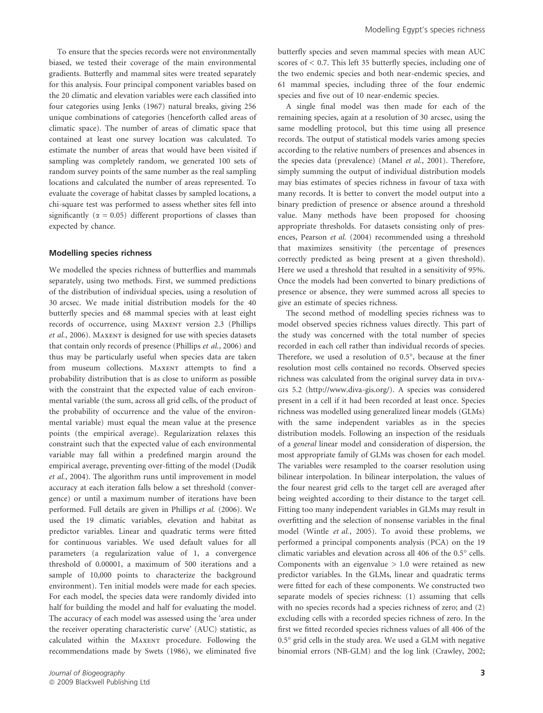To ensure that the species records were not environmentally biased, we tested their coverage of the main environmental gradients. Butterfly and mammal sites were treated separately for this analysis. Four principal component variables based on the 20 climatic and elevation variables were each classified into four categories using Jenks (1967) natural breaks, giving 256 unique combinations of categories (henceforth called areas of climatic space). The number of areas of climatic space that contained at least one survey location was calculated. To estimate the number of areas that would have been visited if sampling was completely random, we generated 100 sets of random survey points of the same number as the real sampling locations and calculated the number of areas represented. To evaluate the coverage of habitat classes by sampled locations, a chi-square test was performed to assess whether sites fell into significantly ( $\alpha = 0.05$ ) different proportions of classes than expected by chance.

#### Modelling species richness

We modelled the species richness of butterflies and mammals separately, using two methods. First, we summed predictions of the distribution of individual species, using a resolution of 30 arcsec. We made initial distribution models for the 40 butterfly species and 68 mammal species with at least eight records of occurrence, using MAXENT version 2.3 (Phillips et al., 2006). MAXENT is designed for use with species datasets that contain only records of presence (Phillips et al., 2006) and thus may be particularly useful when species data are taken from museum collections. MAXENT attempts to find a probability distribution that is as close to uniform as possible with the constraint that the expected value of each environmental variable (the sum, across all grid cells, of the product of the probability of occurrence and the value of the environmental variable) must equal the mean value at the presence points (the empirical average). Regularization relaxes this constraint such that the expected value of each environmental variable may fall within a predefined margin around the empirical average, preventing over-fitting of the model (Dudík et al., 2004). The algorithm runs until improvement in model accuracy at each iteration falls below a set threshold (convergence) or until a maximum number of iterations have been performed. Full details are given in Phillips et al. (2006). We used the 19 climatic variables, elevation and habitat as predictor variables. Linear and quadratic terms were fitted for continuous variables. We used default values for all parameters (a regularization value of 1, a convergence threshold of 0.00001, a maximum of 500 iterations and a sample of 10,000 points to characterize the background environment). Ten initial models were made for each species. For each model, the species data were randomly divided into half for building the model and half for evaluating the model. The accuracy of each model was assessed using the 'area under the receiver operating characteristic curve' (AUC) statistic, as calculated within the MAXENT procedure. Following the recommendations made by Swets (1986), we eliminated five butterfly species and seven mammal species with mean AUC scores of < 0.7. This left 35 butterfly species, including one of the two endemic species and both near-endemic species, and 61 mammal species, including three of the four endemic species and five out of 10 near-endemic species.

A single final model was then made for each of the remaining species, again at a resolution of 30 arcsec, using the same modelling protocol, but this time using all presence records. The output of statistical models varies among species according to the relative numbers of presences and absences in the species data (prevalence) (Manel et al., 2001). Therefore, simply summing the output of individual distribution models may bias estimates of species richness in favour of taxa with many records. It is better to convert the model output into a binary prediction of presence or absence around a threshold value. Many methods have been proposed for choosing appropriate thresholds. For datasets consisting only of presences, Pearson et al. (2004) recommended using a threshold that maximizes sensitivity (the percentage of presences correctly predicted as being present at a given threshold). Here we used a threshold that resulted in a sensitivity of 95%. Once the models had been converted to binary predictions of presence or absence, they were summed across all species to give an estimate of species richness.

The second method of modelling species richness was to model observed species richness values directly. This part of the study was concerned with the total number of species recorded in each cell rather than individual records of species. Therefore, we used a resolution of  $0.5^\circ$ , because at the finer resolution most cells contained no records. Observed species richness was calculated from the original survey data in DIVAgis 5.2 (http://www.diva-gis.org/). A species was considered present in a cell if it had been recorded at least once. Species richness was modelled using generalized linear models (GLMs) with the same independent variables as in the species distribution models. Following an inspection of the residuals of a general linear model and consideration of dispersion, the most appropriate family of GLMs was chosen for each model. The variables were resampled to the coarser resolution using bilinear interpolation. In bilinear interpolation, the values of the four nearest grid cells to the target cell are averaged after being weighted according to their distance to the target cell. Fitting too many independent variables in GLMs may result in overfitting and the selection of nonsense variables in the final model (Wintle et al., 2005). To avoid these problems, we performed a principal components analysis (PCA) on the 19 climatic variables and elevation across all 406 of the 0.5° cells. Components with an eigenvalue  $> 1.0$  were retained as new predictor variables. In the GLMs, linear and quadratic terms were fitted for each of these components. We constructed two separate models of species richness: (1) assuming that cells with no species records had a species richness of zero; and (2) excluding cells with a recorded species richness of zero. In the first we fitted recorded species richness values of all 406 of the 0.5° grid cells in the study area. We used a GLM with negative binomial errors (NB-GLM) and the log link (Crawley, 2002;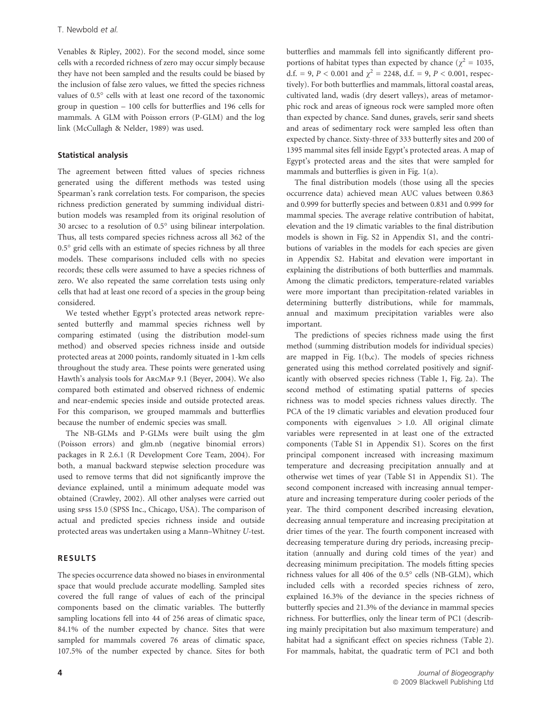Venables & Ripley, 2002). For the second model, since some cells with a recorded richness of zero may occur simply because they have not been sampled and the results could be biased by the inclusion of false zero values, we fitted the species richness values of 0.5° cells with at least one record of the taxonomic group in question – 100 cells for butterflies and 196 cells for mammals. A GLM with Poisson errors (P-GLM) and the log link (McCullagh & Nelder, 1989) was used.

# Statistical analysis

The agreement between fitted values of species richness generated using the different methods was tested using Spearman's rank correlation tests. For comparison, the species richness prediction generated by summing individual distribution models was resampled from its original resolution of 30 arcsec to a resolution of  $0.5^{\circ}$  using bilinear interpolation. Thus, all tests compared species richness across all 362 of the 0.5° grid cells with an estimate of species richness by all three models. These comparisons included cells with no species records; these cells were assumed to have a species richness of zero. We also repeated the same correlation tests using only cells that had at least one record of a species in the group being considered.

We tested whether Egypt's protected areas network represented butterfly and mammal species richness well by comparing estimated (using the distribution model-sum method) and observed species richness inside and outside protected areas at 2000 points, randomly situated in 1-km cells throughout the study area. These points were generated using Hawth's analysis tools for ArcMap 9.1 (Beyer, 2004). We also compared both estimated and observed richness of endemic and near-endemic species inside and outside protected areas. For this comparison, we grouped mammals and butterflies because the number of endemic species was small.

The NB-GLMs and P-GLMs were built using the glm (Poisson errors) and glm.nb (negative binomial errors) packages in R 2.6.1 (R Development Core Team, 2004). For both, a manual backward stepwise selection procedure was used to remove terms that did not significantly improve the deviance explained, until a minimum adequate model was obtained (Crawley, 2002). All other analyses were carried out using spss 15.0 (SPSS Inc., Chicago, USA). The comparison of actual and predicted species richness inside and outside protected areas was undertaken using a Mann–Whitney U-test.

# RESULTS

The species occurrence data showed no biases in environmental space that would preclude accurate modelling. Sampled sites covered the full range of values of each of the principal components based on the climatic variables. The butterfly sampling locations fell into 44 of 256 areas of climatic space, 84.1% of the number expected by chance. Sites that were sampled for mammals covered 76 areas of climatic space, 107.5% of the number expected by chance. Sites for both butterflies and mammals fell into significantly different proportions of habitat types than expected by chance ( $\chi^2$  = 1035, d.f. = 9, P < 0.001 and  $\chi^2$  = 2248, d.f. = 9, P < 0.001, respectively). For both butterflies and mammals, littoral coastal areas, cultivated land, wadis (dry desert valleys), areas of metamorphic rock and areas of igneous rock were sampled more often than expected by chance. Sand dunes, gravels, serir sand sheets and areas of sedimentary rock were sampled less often than expected by chance. Sixty-three of 333 butterfly sites and 200 of 1395 mammal sites fell inside Egypt's protected areas. A map of Egypt's protected areas and the sites that were sampled for mammals and butterflies is given in Fig. 1(a).

The final distribution models (those using all the species occurrence data) achieved mean AUC values between 0.863 and 0.999 for butterfly species and between 0.831 and 0.999 for mammal species. The average relative contribution of habitat, elevation and the 19 climatic variables to the final distribution models is shown in Fig. S2 in Appendix S1, and the contributions of variables in the models for each species are given in Appendix S2. Habitat and elevation were important in explaining the distributions of both butterflies and mammals. Among the climatic predictors, temperature-related variables were more important than precipitation-related variables in determining butterfly distributions, while for mammals, annual and maximum precipitation variables were also important.

The predictions of species richness made using the first method (summing distribution models for individual species) are mapped in Fig. 1(b,c). The models of species richness generated using this method correlated positively and significantly with observed species richness (Table 1, Fig. 2a). The second method of estimating spatial patterns of species richness was to model species richness values directly. The PCA of the 19 climatic variables and elevation produced four components with eigenvalues  $> 1.0$ . All original climate variables were represented in at least one of the extracted components (Table S1 in Appendix S1). Scores on the first principal component increased with increasing maximum temperature and decreasing precipitation annually and at otherwise wet times of year (Table S1 in Appendix S1). The second component increased with increasing annual temperature and increasing temperature during cooler periods of the year. The third component described increasing elevation, decreasing annual temperature and increasing precipitation at drier times of the year. The fourth component increased with decreasing temperature during dry periods, increasing precipitation (annually and during cold times of the year) and decreasing minimum precipitation. The models fitting species richness values for all 406 of the  $0.5^{\circ}$  cells (NB-GLM), which included cells with a recorded species richness of zero, explained 16.3% of the deviance in the species richness of butterfly species and 21.3% of the deviance in mammal species richness. For butterflies, only the linear term of PC1 (describing mainly precipitation but also maximum temperature) and habitat had a significant effect on species richness (Table 2). For mammals, habitat, the quadratic term of PC1 and both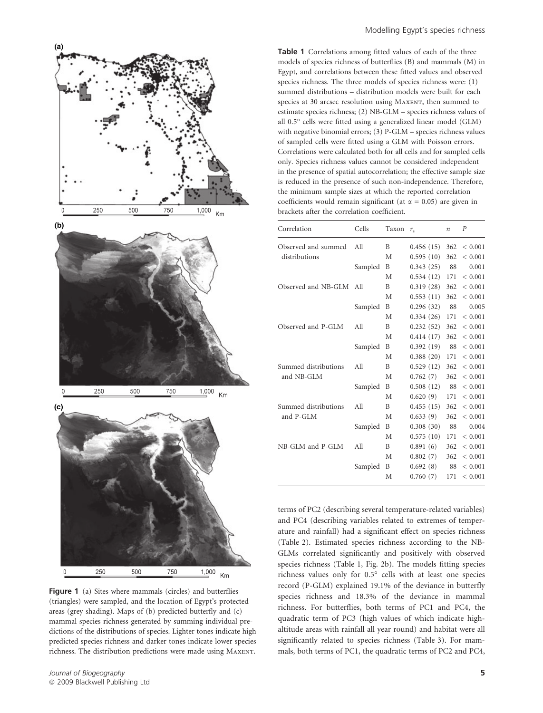

Figure 1 (a) Sites where mammals (circles) and butterflies (triangles) were sampled, and the location of Egypt's protected areas (grey shading). Maps of (b) predicted butterfly and (c) mammal species richness generated by summing individual predictions of the distributions of species. Lighter tones indicate high predicted species richness and darker tones indicate lower species richness. The distribution predictions were made using Maxent.

Table 1 Correlations among fitted values of each of the three models of species richness of butterflies (B) and mammals (M) in Egypt, and correlations between these fitted values and observed species richness. The three models of species richness were: (1) summed distributions – distribution models were built for each species at 30 arcsec resolution using MAXENT, then summed to estimate species richness; (2) NB-GLM – species richness values of all 0.5° cells were fitted using a generalized linear model (GLM) with negative binomial errors; (3) P-GLM – species richness values of sampled cells were fitted using a GLM with Poisson errors. Correlations were calculated both for all cells and for sampled cells only. Species richness values cannot be considered independent in the presence of spatial autocorrelation; the effective sample size is reduced in the presence of such non-independence. Therefore, the minimum sample sizes at which the reported correlation coefficients would remain significant (at  $\alpha = 0.05$ ) are given in brackets after the correlation coefficient.

| Correlation                          | Cells   | Taxon | $r_{\rm s}$ | $\boldsymbol{n}$ | $\boldsymbol{P}$ |
|--------------------------------------|---------|-------|-------------|------------------|------------------|
| Observed and summed<br>distributions | All     | B     | 0.456(15)   | 362              | ${}< 0.001$      |
|                                      |         | М     | 0.595(10)   | 362              | ${}< 0.001$      |
|                                      | Sampled | B     | 0.343(25)   | 88               | 0.001            |
|                                      |         | M     | 0.534(12)   | 171              | ${}< 0.001$      |
| Observed and NB-GLM                  | All     | B     | 0.319(28)   | 362              | ${}< 0.001$      |
|                                      |         | М     | 0.553(11)   | 362              | ${}< 0.001$      |
|                                      | Sampled | B     | 0.296(32)   | 88               | 0.005            |
|                                      |         | M     | 0.334(26)   | 171              | ${}< 0.001$      |
| Observed and P-GLM                   | All     | B     | 0.232(52)   | 362              | ${}< 0.001$      |
|                                      |         | M     | 0.414(17)   | 362              | ${}< 0.001$      |
|                                      | Sampled | B     | 0.392(19)   | 88               | ${}< 0.001$      |
|                                      |         | M     | 0.388(20)   | 171              | ${}< 0.001$      |
| Summed distributions                 | All     | B     | 0.529(12)   | 362              | ${}< 0.001$      |
| and NB-GLM                           |         | M     | 0.762(7)    | 362              | ${}< 0.001$      |
|                                      | Sampled | B     | 0.508(12)   | 88               | ${}< 0.001$      |
|                                      |         | M     | 0.620(9)    | 171              | ${}< 0.001$      |
| Summed distributions<br>and P-GLM    | All     | B     | 0.455(15)   | 362              | ${}< 0.001$      |
|                                      |         | M     | 0.633(9)    | 362              | ${}< 0.001$      |
|                                      | Sampled | B     | 0.308(30)   | 88               | 0.004            |
|                                      |         | M     | 0.575(10)   | 171              | ${}< 0.001$      |
| NB-GLM and P-GLM                     | All     | B     | 0.891(6)    | 362              | ${}< 0.001$      |
|                                      |         | M     | 0.802(7)    | 362              | ${}< 0.001$      |
|                                      | Sampled | B     | 0.692(8)    | 88               | ${}< 0.001$      |
|                                      |         | M     | 0.760(7)    | 171              | ${}< 0.001$      |

terms of PC2 (describing several temperature-related variables) and PC4 (describing variables related to extremes of temperature and rainfall) had a significant effect on species richness (Table 2). Estimated species richness according to the NB-GLMs correlated significantly and positively with observed species richness (Table 1, Fig. 2b). The models fitting species richness values only for  $0.5^\circ$  cells with at least one species record (P-GLM) explained 19.1% of the deviance in butterfly species richness and 18.3% of the deviance in mammal richness. For butterflies, both terms of PC1 and PC4, the quadratic term of PC3 (high values of which indicate highaltitude areas with rainfall all year round) and habitat were all significantly related to species richness (Table 3). For mammals, both terms of PC1, the quadratic terms of PC2 and PC4,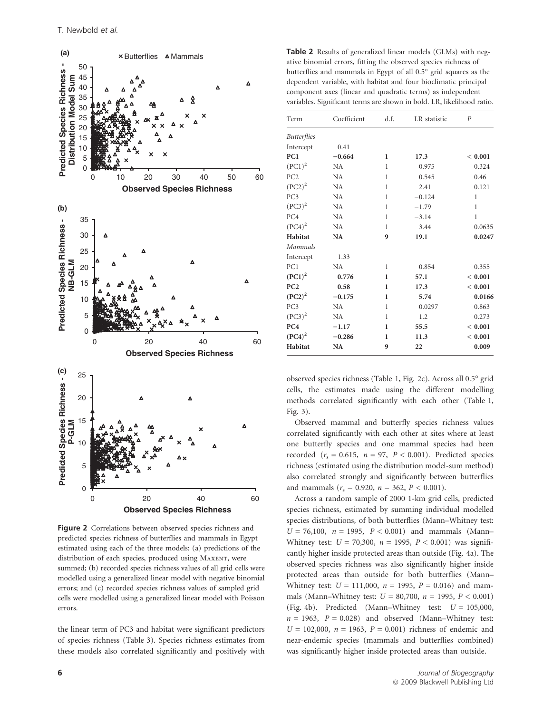

Figure 2 Correlations between observed species richness and predicted species richness of butterflies and mammals in Egypt estimated using each of the three models: (a) predictions of the distribution of each species, produced using MAXENT, were summed; (b) recorded species richness values of all grid cells were modelled using a generalized linear model with negative binomial errors; and (c) recorded species richness values of sampled grid cells were modelled using a generalized linear model with Poisson errors.

the linear term of PC3 and habitat were significant predictors of species richness (Table 3). Species richness estimates from these models also correlated significantly and positively with

Table 2 Results of generalized linear models (GLMs) with negative binomial errors, fitting the observed species richness of butterflies and mammals in Egypt of all  $0.5^{\circ}$  grid squares as the dependent variable, with habitat and four bioclimatic principal component axes (linear and quadratic terms) as independent variables. Significant terms are shown in bold. LR, likelihood ratio.

| Term               | Coefficient | d.f. | LR statistic | $\boldsymbol{P}$ |
|--------------------|-------------|------|--------------|------------------|
| <b>Butterflies</b> |             |      |              |                  |
| Intercept          | 0.41        |      |              |                  |
| PC1                | $-0.664$    | 1    | 17.3         | ${}< 0.001$      |
| $(PC1)^2$          | NA          | 1    | 0.975        | 0.324            |
| PC2                | NA          | 1    | 0.545        | 0.46             |
| $(PC2)^2$          | NA          | 1    | 2.41         | 0.121            |
| PC <sub>3</sub>    | <b>NA</b>   | 1    | $-0.124$     | 1                |
| $(PC3)^2$          | <b>NA</b>   | 1    | $-1.79$      | 1                |
| PC <sub>4</sub>    | <b>NA</b>   | 1    | $-3.14$      | 1                |
| $(PC4)^2$          | <b>NA</b>   | 1    | 3.44         | 0.0635           |
| Habitat            | <b>NA</b>   | 9    | 19.1         | 0.0247           |
| Mammals            |             |      |              |                  |
| Intercept          | 1.33        |      |              |                  |
| PC1                | NA          | 1    | 0.854        | 0.355            |
| $(PC1)^2$          | 0.776       | 1    | 57.1         | ${}< 0.001$      |
| PC <sub>2</sub>    | 0.58        | 1    | 17.3         | ${}< 0.001$      |
| $(PC2)^2$          | $-0.175$    | 1    | 5.74         | 0.0166           |
| PC <sub>3</sub>    | <b>NA</b>   | 1    | 0.0297       | 0.863            |
| $(PC3)^2$          | <b>NA</b>   | 1    | 1.2          | 0.273            |
| PC <sub>4</sub>    | $-1.17$     | 1    | 55.5         | ${}< 0.001$      |
| $(PCA)^2$          | $-0.286$    | 1    | 11.3         | ${}< 0.001$      |
| Habitat            | NA          | 9    | 22           | 0.009            |

observed species richness (Table 1, Fig. 2c). Across all 0.5° grid cells, the estimates made using the different modelling methods correlated significantly with each other (Table 1, Fig. 3).

Observed mammal and butterfly species richness values correlated significantly with each other at sites where at least one butterfly species and one mammal species had been recorded ( $r_s = 0.615$ ,  $n = 97$ ,  $P < 0.001$ ). Predicted species richness (estimated using the distribution model-sum method) also correlated strongly and significantly between butterflies and mammals ( $r_s = 0.920$ ,  $n = 362$ ,  $P < 0.001$ ).

Across a random sample of 2000 1-km grid cells, predicted species richness, estimated by summing individual modelled species distributions, of both butterflies (Mann–Whitney test:  $U = 76,100$ ,  $n = 1995$ ,  $P < 0.001$ ) and mammals (Mann– Whitney test:  $U = 70,300$ ,  $n = 1995$ ,  $P < 0.001$ ) was significantly higher inside protected areas than outside (Fig. 4a). The observed species richness was also significantly higher inside protected areas than outside for both butterflies (Mann– Whitney test:  $U = 111,000$ ,  $n = 1995$ ,  $P = 0.016$ ) and mammals (Mann–Whitney test:  $U = 80,700$ ,  $n = 1995$ ,  $P < 0.001$ ) (Fig. 4b). Predicted (Mann–Whitney test:  $U = 105,000$ ,  $n = 1963$ ,  $P = 0.028$ ) and observed (Mann–Whitney test:  $U = 102,000$ ,  $n = 1963$ ,  $P = 0.001$ ) richness of endemic and near-endemic species (mammals and butterflies combined) was significantly higher inside protected areas than outside.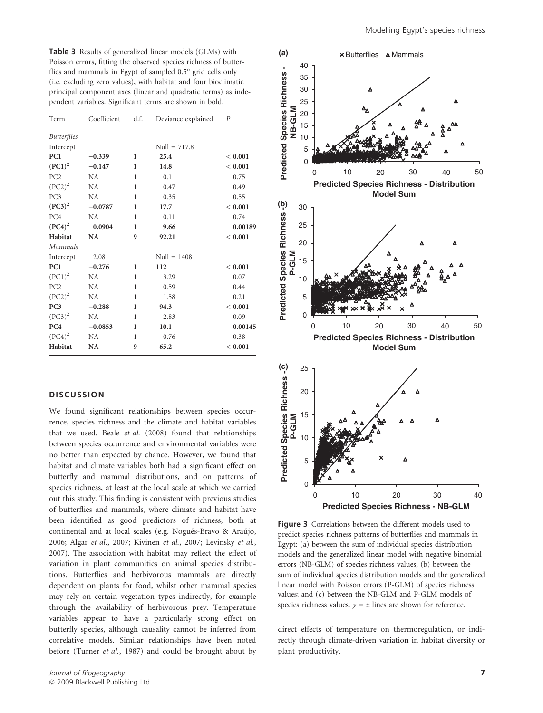Table 3 Results of generalized linear models (GLMs) with Poisson errors, fitting the observed species richness of butterflies and mammals in Egypt of sampled 0.5° grid cells only (i.e. excluding zero values), with habitat and four bioclimatic principal component axes (linear and quadratic terms) as independent variables. Significant terms are shown in bold.

| Term               | Coefficient | d.f. | Deviance explained | $\boldsymbol{P}$ |
|--------------------|-------------|------|--------------------|------------------|
| <b>Butterflies</b> |             |      |                    |                  |
| Intercept          |             |      | $Null = 717.8$     |                  |
| PC1                | $-0.339$    | 1    | 25.4               | ${}< 0.001$      |
| (PCl) <sup>2</sup> | $-0.147$    | 1    | 14.8               | ${}< 0.001$      |
| PC <sub>2</sub>    | <b>NA</b>   | 1    | 0.1                | 0.75             |
| $(PC2)^2$          | <b>NA</b>   | 1    | 0.47               | 0.49             |
| PC3                | <b>NA</b>   | 1    | 0.35               | 0.55             |
| $(PC3)^2$          | $-0.0787$   | 1    | 17.7               | ${}< 0.001$      |
| PC4                | <b>NA</b>   | 1    | 0.11               | 0.74             |
| $(PC4)^2$          | 0.0904      | 1    | 9.66               | 0.00189          |
| Habitat            | <b>NA</b>   | 9    | 92.21              | < 0.001          |
| Mammals            |             |      |                    |                  |
| Intercept          | 2.08        |      | $Null = 1408$      |                  |
| PC1                | $-0.276$    | 1    | 112                | ${}< 0.001$      |
| $(PC1)^2$          | <b>NA</b>   | 1    | 3.29               | 0.07             |
| PC <sub>2</sub>    | <b>NA</b>   | 1    | 0.59               | 0.44             |
| $(PC2)^2$          | <b>NA</b>   | 1    | 1.58               | 0.21             |
| PC <sub>3</sub>    | $-0.288$    | 1    | 94.3               | < 0.001          |
| $(PC3)^2$          | <b>NA</b>   | 1    | 2.83               | 0.09             |
| PC <sub>4</sub>    | $-0.0853$   | 1    | 10.1               | 0.00145          |
| $(PC4)^2$          | <b>NA</b>   | 1    | 0.76               | 0.38             |
| Habitat            | <b>NA</b>   | 9    | 65.2               | < 0.001          |

### **DISCUSSION**

We found significant relationships between species occurrence, species richness and the climate and habitat variables that we used. Beale et al. (2008) found that relationships between species occurrence and environmental variables were no better than expected by chance. However, we found that habitat and climate variables both had a significant effect on butterfly and mammal distributions, and on patterns of species richness, at least at the local scale at which we carried out this study. This finding is consistent with previous studies of butterflies and mammals, where climate and habitat have been identified as good predictors of richness, both at continental and at local scales (e.g. Nogués-Bravo & Araújo, 2006; Algar et al., 2007; Kivinen et al., 2007; Levinsky et al., 2007). The association with habitat may reflect the effect of variation in plant communities on animal species distributions. Butterflies and herbivorous mammals are directly dependent on plants for food, whilst other mammal species may rely on certain vegetation types indirectly, for example through the availability of herbivorous prey. Temperature variables appear to have a particularly strong effect on butterfly species, although causality cannot be inferred from correlative models. Similar relationships have been noted before (Turner et al., 1987) and could be brought about by



Figure 3 Correlations between the different models used to predict species richness patterns of butterflies and mammals in Egypt: (a) between the sum of individual species distribution models and the generalized linear model with negative binomial errors (NB-GLM) of species richness values; (b) between the sum of individual species distribution models and the generalized linear model with Poisson errors (P-GLM) of species richness values; and (c) between the NB-GLM and P-GLM models of species richness values.  $y = x$  lines are shown for reference.

direct effects of temperature on thermoregulation, or indirectly through climate-driven variation in habitat diversity or plant productivity.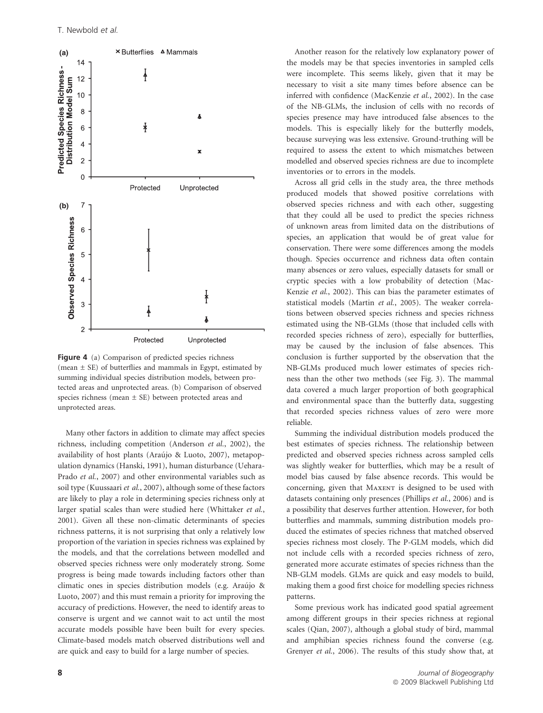

Figure 4 (a) Comparison of predicted species richness (mean  $\pm$  SE) of butterflies and mammals in Egypt, estimated by summing individual species distribution models, between protected areas and unprotected areas. (b) Comparison of observed species richness (mean  $\pm$  SE) between protected areas and unprotected areas.

Many other factors in addition to climate may affect species richness, including competition (Anderson et al., 2002), the availability of host plants (Araújo & Luoto, 2007), metapopulation dynamics (Hanski, 1991), human disturbance (Uehara-Prado et al., 2007) and other environmental variables such as soil type (Kuussaari et al., 2007), although some of these factors are likely to play a role in determining species richness only at larger spatial scales than were studied here (Whittaker et al., 2001). Given all these non-climatic determinants of species richness patterns, it is not surprising that only a relatively low proportion of the variation in species richness was explained by the models, and that the correlations between modelled and observed species richness were only moderately strong. Some progress is being made towards including factors other than climatic ones in species distribution models (e.g. Arau´jo & Luoto, 2007) and this must remain a priority for improving the accuracy of predictions. However, the need to identify areas to conserve is urgent and we cannot wait to act until the most accurate models possible have been built for every species. Climate-based models match observed distributions well and are quick and easy to build for a large number of species.

Another reason for the relatively low explanatory power of the models may be that species inventories in sampled cells were incomplete. This seems likely, given that it may be necessary to visit a site many times before absence can be inferred with confidence (MacKenzie et al., 2002). In the case of the NB-GLMs, the inclusion of cells with no records of species presence may have introduced false absences to the models. This is especially likely for the butterfly models, because surveying was less extensive. Ground-truthing will be required to assess the extent to which mismatches between modelled and observed species richness are due to incomplete inventories or to errors in the models.

Across all grid cells in the study area, the three methods produced models that showed positive correlations with observed species richness and with each other, suggesting that they could all be used to predict the species richness of unknown areas from limited data on the distributions of species, an application that would be of great value for conservation. There were some differences among the models though. Species occurrence and richness data often contain many absences or zero values, especially datasets for small or cryptic species with a low probability of detection (Mac-Kenzie et al., 2002). This can bias the parameter estimates of statistical models (Martin et al., 2005). The weaker correlations between observed species richness and species richness estimated using the NB-GLMs (those that included cells with recorded species richness of zero), especially for butterflies, may be caused by the inclusion of false absences. This conclusion is further supported by the observation that the NB-GLMs produced much lower estimates of species richness than the other two methods (see Fig. 3). The mammal data covered a much larger proportion of both geographical and environmental space than the butterfly data, suggesting that recorded species richness values of zero were more reliable.

Summing the individual distribution models produced the best estimates of species richness. The relationship between predicted and observed species richness across sampled cells was slightly weaker for butterflies, which may be a result of model bias caused by false absence records. This would be concerning, given that MAXENT is designed to be used with datasets containing only presences (Phillips et al., 2006) and is a possibility that deserves further attention. However, for both butterflies and mammals, summing distribution models produced the estimates of species richness that matched observed species richness most closely. The P-GLM models, which did not include cells with a recorded species richness of zero, generated more accurate estimates of species richness than the NB-GLM models. GLMs are quick and easy models to build, making them a good first choice for modelling species richness patterns.

Some previous work has indicated good spatial agreement among different groups in their species richness at regional scales (Qian, 2007), although a global study of bird, mammal and amphibian species richness found the converse (e.g. Grenyer et al., 2006). The results of this study show that, at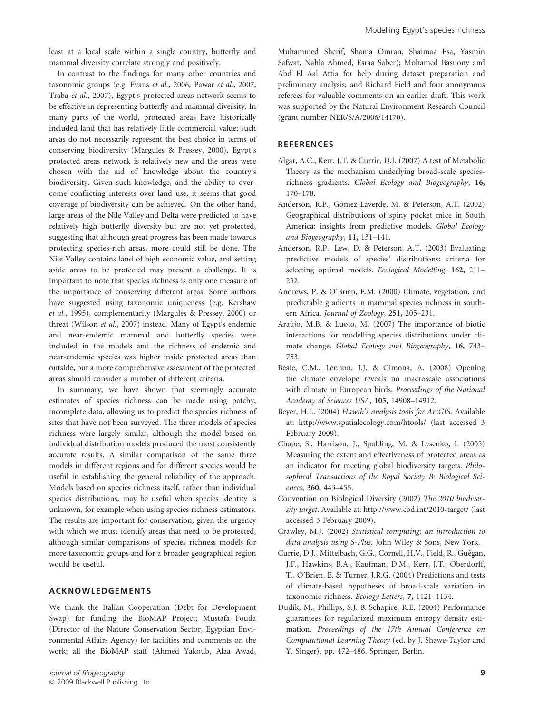least at a local scale within a single country, butterfly and mammal diversity correlate strongly and positively.

In contrast to the findings for many other countries and taxonomic groups (e.g. Evans et al., 2006; Pawar et al., 2007; Traba et al., 2007), Egypt's protected areas network seems to be effective in representing butterfly and mammal diversity. In many parts of the world, protected areas have historically included land that has relatively little commercial value; such areas do not necessarily represent the best choice in terms of conserving biodiversity (Margules & Pressey, 2000). Egypt's protected areas network is relatively new and the areas were chosen with the aid of knowledge about the country's biodiversity. Given such knowledge, and the ability to overcome conflicting interests over land use, it seems that good coverage of biodiversity can be achieved. On the other hand, large areas of the Nile Valley and Delta were predicted to have relatively high butterfly diversity but are not yet protected, suggesting that although great progress has been made towards protecting species-rich areas, more could still be done. The Nile Valley contains land of high economic value, and setting aside areas to be protected may present a challenge. It is important to note that species richness is only one measure of the importance of conserving different areas. Some authors have suggested using taxonomic uniqueness (e.g. Kershaw et al., 1995), complementarity (Margules & Pressey, 2000) or threat (Wilson et al., 2007) instead. Many of Egypt's endemic and near-endemic mammal and butterfly species were included in the models and the richness of endemic and near-endemic species was higher inside protected areas than outside, but a more comprehensive assessment of the protected areas should consider a number of different criteria.

In summary, we have shown that seemingly accurate estimates of species richness can be made using patchy, incomplete data, allowing us to predict the species richness of sites that have not been surveyed. The three models of species richness were largely similar, although the model based on individual distribution models produced the most consistently accurate results. A similar comparison of the same three models in different regions and for different species would be useful in establishing the general reliability of the approach. Models based on species richness itself, rather than individual species distributions, may be useful when species identity is unknown, for example when using species richness estimators. The results are important for conservation, given the urgency with which we must identify areas that need to be protected, although similar comparisons of species richness models for more taxonomic groups and for a broader geographical region would be useful.

## ACKNOWLEDGEMENTS

We thank the Italian Cooperation (Debt for Development Swap) for funding the BioMAP Project; Mustafa Fouda (Director of the Nature Conservation Sector, Egyptian Environmental Affairs Agency) for facilities and comments on the work; all the BioMAP staff (Ahmed Yakoub, Alaa Awad,

Muhammed Sherif, Shama Omran, Shaimaa Esa, Yasmin Safwat, Nahla Ahmed, Esraa Saber); Mohamed Basuony and Abd El Aal Attia for help during dataset preparation and preliminary analysis; and Richard Field and four anonymous referees for valuable comments on an earlier draft. This work was supported by the Natural Environment Research Council (grant number NER/S/A/2006/14170).

#### **REFERENCES**

- Algar, A.C., Kerr, J.T. & Currie, D.J. (2007) A test of Metabolic Theory as the mechanism underlying broad-scale speciesrichness gradients. Global Ecology and Biogeography, 16, 170–178.
- Anderson, R.P., Gómez-Laverde, M. & Peterson, A.T. (2002) Geographical distributions of spiny pocket mice in South America: insights from predictive models. Global Ecology and Biogeography, 11, 131–141.
- Anderson, R.P., Lew, D. & Peterson, A.T. (2003) Evaluating predictive models of species' distributions: criteria for selecting optimal models. Ecological Modelling, 162, 211-232.
- Andrews, P. & O'Brien, E.M. (2000) Climate, vegetation, and predictable gradients in mammal species richness in southern Africa. Journal of Zoology, 251, 205–231.
- Araújo, M.B. & Luoto, M. (2007) The importance of biotic interactions for modelling species distributions under climate change. Global Ecology and Biogeography, 16, 743– 753.
- Beale, C.M., Lennon, J.J. & Gimona, A. (2008) Opening the climate envelope reveals no macroscale associations with climate in European birds. Proceedings of the National Academy of Sciences USA, 105, 14908–14912.
- Beyer, H.L. (2004) Hawth's analysis tools for ArcGIS. Available at: http://www.spatialecology.com/htools/ (last accessed 3 February 2009).
- Chape, S., Harrison, J., Spalding, M. & Lysenko, I. (2005) Measuring the extent and effectiveness of protected areas as an indicator for meeting global biodiversity targets. Philosophical Transactions of the Royal Society B: Biological Sciences, 360, 443–455.
- Convention on Biological Diversity (2002) The 2010 biodiversity target. Available at: http://www.cbd.int/2010-target/ (last accessed 3 February 2009).
- Crawley, M.J. (2002) Statistical computing: an introduction to data analysis using S-Plus. John Wiley & Sons, New York.
- Currie, D.J., Mittelbach, G.G., Cornell, H.V., Field, R., Guégan, J.F., Hawkins, B.A., Kaufman, D.M., Kerr, J.T., Oberdorff, T., O'Brien, E. & Turner, J.R.G. (2004) Predictions and tests of climate-based hypotheses of broad-scale variation in taxonomic richness. Ecology Letters, 7, 1121–1134.
- Dudík, M., Phillips, S.J. & Schapire, R.E. (2004) Performance guarantees for regularized maximum entropy density estimation. Proceedings of the 17th Annual Conference on Computational Learning Theory (ed. by J. Shawe-Taylor and Y. Singer), pp. 472–486. Springer, Berlin.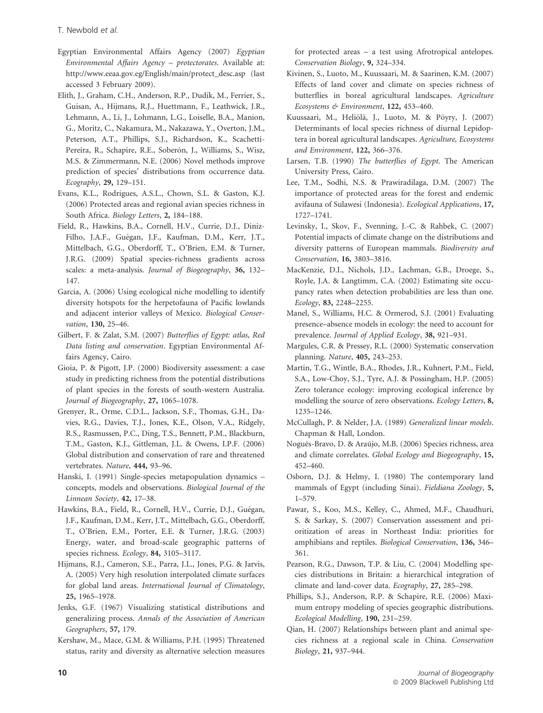- Egyptian Environmental Affairs Agency (2007) Egyptian Environmental Affairs Agency – protectorates. Available at: http://www.eeaa.gov.eg/English/main/protect\_desc.asp (last accessed 3 February 2009).
- Elith, J., Graham, C.H., Anderson, R.P., Dudík, M., Ferrier, S., Guisan, A., Hijmans, R.J., Huettmann, F., Leathwick, J.R., Lehmann, A., Li, J., Lohmann, L.G., Loiselle, B.A., Manion, G., Moritz, C., Nakamura, M., Nakazawa, Y., Overton, J.M., Peterson, A.T., Phillips, S.J., Richardson, K., Scachetti-Pereira, R., Schapire, R.E., Soberón, J., Williams, S., Wisz, M.S. & Zimmermann, N.E. (2006) Novel methods improve prediction of species' distributions from occurrence data. Ecography, 29, 129–151.
- Evans, K.L., Rodrigues, A.S.L., Chown, S.L. & Gaston, K.J. (2006) Protected areas and regional avian species richness in South Africa. Biology Letters, 2, 184–188.
- Field, R., Hawkins, B.A., Cornell, H.V., Currie, D.J., Diniz-Filho, J.A.F., Guégan, J.F., Kaufman, D.M., Kerr, J.T., Mittelbach, G.G., Oberdorff, T., O'Brien, E.M. & Turner, J.R.G. (2009) Spatial species-richness gradients across scales: a meta-analysis. Journal of Biogeography, 36, 132-147.
- Garcia, A. (2006) Using ecological niche modelling to identify diversity hotspots for the herpetofauna of Pacific lowlands and adjacent interior valleys of Mexico. Biological Conservation, 130, 25–46.
- Gilbert, F. & Zalat, S.M. (2007) Butterflies of Egypt: atlas, Red Data listing and conservation. Egyptian Environmental Affairs Agency, Cairo.
- Gioia, P. & Pigott, J.P. (2000) Biodiversity assessment: a case study in predicting richness from the potential distributions of plant species in the forests of south-western Australia. Journal of Biogeography, 27, 1065–1078.
- Grenyer, R., Orme, C.D.L., Jackson, S.F., Thomas, G.H., Davies, R.G., Davies, T.J., Jones, K.E., Olson, V.A., Ridgely, R.S., Rasmussen, P.C., Ding, T.S., Bennett, P.M., Blackburn, T.M., Gaston, K.J., Gittleman, J.L. & Owens, I.P.F. (2006) Global distribution and conservation of rare and threatened vertebrates. Nature, 444, 93–96.
- Hanski, I. (1991) Single-species metapopulation dynamics concepts, models and observations. Biological Journal of the Linnean Society, 42, 17–38.
- Hawkins, B.A., Field, R., Cornell, H.V., Currie, D.J., Guégan, J.F., Kaufman, D.M., Kerr, J.T., Mittelbach, G.G., Oberdorff, T., O'Brien, E.M., Porter, E.E. & Turner, J.R.G. (2003) Energy, water, and broad-scale geographic patterns of species richness. Ecology, 84, 3105-3117.
- Hijmans, R.J., Cameron, S.E., Parra, J.L., Jones, P.G. & Jarvis, A. (2005) Very high resolution interpolated climate surfaces for global land areas. International Journal of Climatology, 25, 1965–1978.
- Jenks, G.F. (1967) Visualizing statistical distributions and generalizing process. Annals of the Association of American Geographers, 57, 179.
- Kershaw, M., Mace, G.M. & Williams, P.H. (1995) Threatened status, rarity and diversity as alternative selection measures

for protected areas – a test using Afrotropical antelopes. Conservation Biology, 9, 324–334.

- Kivinen, S., Luoto, M., Kuussaari, M. & Saarinen, K.M. (2007) Effects of land cover and climate on species richness of butterflies in boreal agricultural landscapes. Agriculture Ecosystems & Environment, 122, 453–460.
- Kuussaari, M., Heliölä, J., Luoto, M. & Pöyry, J. (2007) Determinants of local species richness of diurnal Lepidoptera in boreal agricultural landscapes. Agriculture, Ecosystems and Environment, 122, 366–376.
- Larsen, T.B. (1990) The butterflies of Egypt. The American University Press, Cairo.
- Lee, T.M., Sodhi, N.S. & Prawiradilaga, D.M. (2007) The importance of protected areas for the forest and endemic avifauna of Sulawesi (Indonesia). Ecological Applications, 17, 1727–1741.
- Levinsky, I., Skov, F., Svenning, J.-C. & Rahbek, C. (2007) Potential impacts of climate change on the distributions and diversity patterns of European mammals. Biodiversity and Conservation, 16, 3803–3816.
- MacKenzie, D.I., Nichols, J.D., Lachman, G.B., Droege, S., Royle, J.A. & Langtimm, C.A. (2002) Estimating site occupancy rates when detection probabilities are less than one. Ecology, 83, 2248–2255.
- Manel, S., Williams, H.C. & Ormerod, S.J. (2001) Evaluating presence–absence models in ecology: the need to account for prevalence. Journal of Applied Ecology, 38, 921–931.
- Margules, C.R. & Pressey, R.L. (2000) Systematic conservation planning. Nature, 405, 243–253.
- Martin, T.G., Wintle, B.A., Rhodes, J.R., Kuhnert, P.M., Field, S.A., Low-Choy, S.J., Tyre, A.J. & Possingham, H.P. (2005) Zero tolerance ecology: improving ecological inference by modelling the source of zero observations. Ecology Letters, 8, 1235–1246.
- McCullagh, P. & Nelder, J.A. (1989) Generalized linear models. Chapman & Hall, London.
- Nogués-Bravo, D. & Araújo, M.B. (2006) Species richness, area and climate correlates. Global Ecology and Biogeography, 15, 452–460.
- Osborn, D.J. & Helmy, I. (1980) The contemporary land mammals of Egypt (including Sinai). Fieldiana Zoology, 5, 1–579.
- Pawar, S., Koo, M.S., Kelley, C., Ahmed, M.F., Chaudhuri, S. & Sarkay, S. (2007) Conservation assessment and prioritization of areas in Northeast India: priorities for amphibians and reptiles. Biological Conservation, 136, 346– 361.
- Pearson, R.G., Dawson, T.P. & Liu, C. (2004) Modelling species distributions in Britain: a hierarchical integration of climate and land-cover data. Ecography, 27, 285–298.
- Phillips, S.J., Anderson, R.P. & Schapire, R.E. (2006) Maximum entropy modeling of species geographic distributions. Ecological Modelling, 190, 231–259.
- Qian, H. (2007) Relationships between plant and animal species richness at a regional scale in China. Conservation Biology, 21, 937–944.